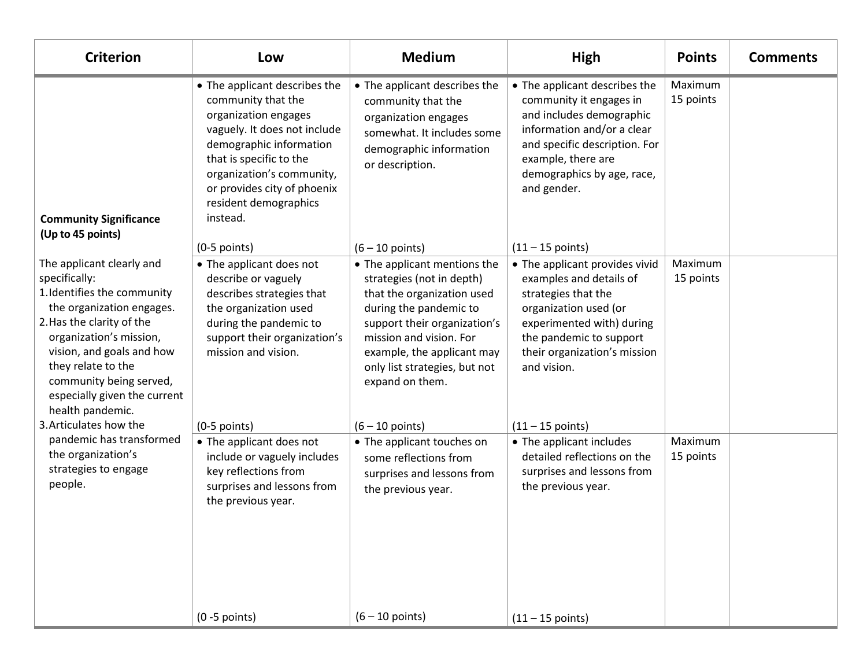| <b>Criterion</b>                                                                                                                                                                                                                                                                                 | Low                                                                                                                                                                                                                                                                | <b>Medium</b>                                                                                                                                                                                                                                                  | High                                                                                                                                                                                                                   | <b>Points</b>        | <b>Comments</b> |
|--------------------------------------------------------------------------------------------------------------------------------------------------------------------------------------------------------------------------------------------------------------------------------------------------|--------------------------------------------------------------------------------------------------------------------------------------------------------------------------------------------------------------------------------------------------------------------|----------------------------------------------------------------------------------------------------------------------------------------------------------------------------------------------------------------------------------------------------------------|------------------------------------------------------------------------------------------------------------------------------------------------------------------------------------------------------------------------|----------------------|-----------------|
| <b>Community Significance</b><br>(Up to 45 points)                                                                                                                                                                                                                                               | • The applicant describes the<br>community that the<br>organization engages<br>vaguely. It does not include<br>demographic information<br>that is specific to the<br>organization's community,<br>or provides city of phoenix<br>resident demographics<br>instead. | • The applicant describes the<br>community that the<br>organization engages<br>somewhat. It includes some<br>demographic information<br>or description.                                                                                                        | • The applicant describes the<br>community it engages in<br>and includes demographic<br>information and/or a clear<br>and specific description. For<br>example, there are<br>demographics by age, race,<br>and gender. | Maximum<br>15 points |                 |
|                                                                                                                                                                                                                                                                                                  | $(0-5$ points)                                                                                                                                                                                                                                                     | $(6 - 10$ points)                                                                                                                                                                                                                                              | $(11 - 15 \text{ points})$                                                                                                                                                                                             |                      |                 |
| The applicant clearly and<br>specifically:<br>1. Identifies the community<br>the organization engages.<br>2. Has the clarity of the<br>organization's mission,<br>vision, and goals and how<br>they relate to the<br>community being served,<br>especially given the current<br>health pandemic. | • The applicant does not<br>describe or vaguely<br>describes strategies that<br>the organization used<br>during the pandemic to<br>support their organization's<br>mission and vision.                                                                             | • The applicant mentions the<br>strategies (not in depth)<br>that the organization used<br>during the pandemic to<br>support their organization's<br>mission and vision. For<br>example, the applicant may<br>only list strategies, but not<br>expand on them. | • The applicant provides vivid<br>examples and details of<br>strategies that the<br>organization used (or<br>experimented with) during<br>the pandemic to support<br>their organization's mission<br>and vision.       | Maximum<br>15 points |                 |
| 3. Articulates how the                                                                                                                                                                                                                                                                           | $(0-5$ points)                                                                                                                                                                                                                                                     | $(6 - 10$ points)                                                                                                                                                                                                                                              | $(11 - 15 \text{ points})$                                                                                                                                                                                             |                      |                 |
| pandemic has transformed<br>the organization's<br>strategies to engage<br>people.                                                                                                                                                                                                                | • The applicant does not<br>include or vaguely includes<br>key reflections from<br>surprises and lessons from<br>the previous year.                                                                                                                                | • The applicant touches on<br>some reflections from<br>surprises and lessons from<br>the previous year.                                                                                                                                                        | • The applicant includes<br>detailed reflections on the<br>surprises and lessons from<br>the previous year.                                                                                                            | Maximum<br>15 points |                 |
|                                                                                                                                                                                                                                                                                                  | $(0 - 5$ points)                                                                                                                                                                                                                                                   | $(6 - 10$ points)                                                                                                                                                                                                                                              | $(11 - 15 \text{ points})$                                                                                                                                                                                             |                      |                 |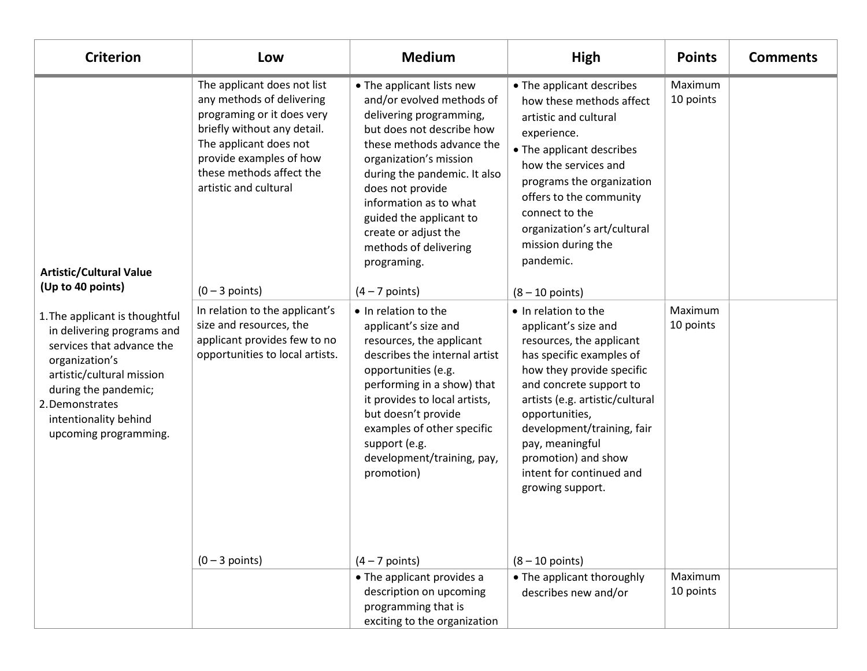| <b>Criterion</b>                                                                                                                                                                                                                                                                             | Low                                                                                                                                                                                                                                                 | <b>Medium</b>                                                                                                                                                                                                                                                                                                                                                      | High                                                                                                                                                                                                                                                                                                                                                           | <b>Points</b>        | <b>Comments</b> |
|----------------------------------------------------------------------------------------------------------------------------------------------------------------------------------------------------------------------------------------------------------------------------------------------|-----------------------------------------------------------------------------------------------------------------------------------------------------------------------------------------------------------------------------------------------------|--------------------------------------------------------------------------------------------------------------------------------------------------------------------------------------------------------------------------------------------------------------------------------------------------------------------------------------------------------------------|----------------------------------------------------------------------------------------------------------------------------------------------------------------------------------------------------------------------------------------------------------------------------------------------------------------------------------------------------------------|----------------------|-----------------|
| <b>Artistic/Cultural Value</b><br>(Up to 40 points)<br>1. The applicant is thoughtful<br>in delivering programs and<br>services that advance the<br>organization's<br>artistic/cultural mission<br>during the pandemic;<br>2. Demonstrates<br>intentionality behind<br>upcoming programming. | The applicant does not list<br>any methods of delivering<br>programing or it does very<br>briefly without any detail.<br>The applicant does not<br>provide examples of how<br>these methods affect the<br>artistic and cultural<br>$(0 - 3$ points) | • The applicant lists new<br>and/or evolved methods of<br>delivering programming,<br>but does not describe how<br>these methods advance the<br>organization's mission<br>during the pandemic. It also<br>does not provide<br>information as to what<br>guided the applicant to<br>create or adjust the<br>methods of delivering<br>programing.<br>$(4 - 7$ points) | • The applicant describes<br>how these methods affect<br>artistic and cultural<br>experience.<br>• The applicant describes<br>how the services and<br>programs the organization<br>offers to the community<br>connect to the<br>organization's art/cultural<br>mission during the<br>pandemic.<br>$(8 - 10$ points)                                            | Maximum<br>10 points |                 |
|                                                                                                                                                                                                                                                                                              | In relation to the applicant's<br>size and resources, the<br>applicant provides few to no<br>opportunities to local artists.<br>$(0 - 3$ points)                                                                                                    | • In relation to the<br>applicant's size and<br>resources, the applicant<br>describes the internal artist<br>opportunities (e.g.<br>performing in a show) that<br>it provides to local artists,<br>but doesn't provide<br>examples of other specific<br>support (e.g.<br>development/training, pay,<br>promotion)<br>$(4 - 7$ points)                              | • In relation to the<br>applicant's size and<br>resources, the applicant<br>has specific examples of<br>how they provide specific<br>and concrete support to<br>artists (e.g. artistic/cultural<br>opportunities,<br>development/training, fair<br>pay, meaningful<br>promotion) and show<br>intent for continued and<br>growing support.<br>$(8 - 10$ points) | Maximum<br>10 points |                 |
|                                                                                                                                                                                                                                                                                              |                                                                                                                                                                                                                                                     | • The applicant provides a                                                                                                                                                                                                                                                                                                                                         | • The applicant thoroughly                                                                                                                                                                                                                                                                                                                                     | Maximum              |                 |
|                                                                                                                                                                                                                                                                                              |                                                                                                                                                                                                                                                     | description on upcoming<br>programming that is<br>exciting to the organization                                                                                                                                                                                                                                                                                     | describes new and/or                                                                                                                                                                                                                                                                                                                                           | 10 points            |                 |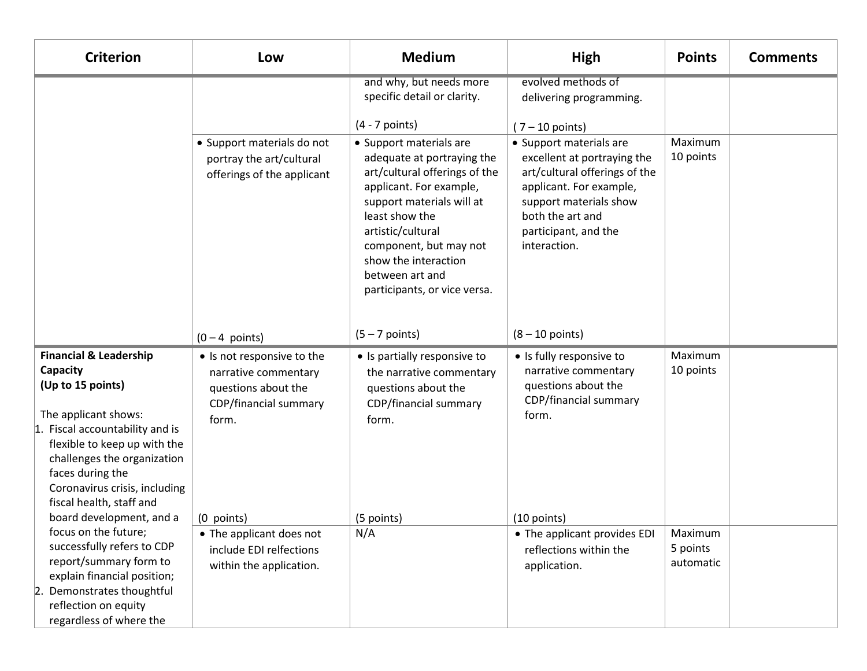| <b>Criterion</b>                                                                                                                                                                                                                                                                                          | Low                                                                                                                       | <b>Medium</b>                                                                                                                                                                                                                                                                              | High                                                                                                                                                                                                     | <b>Points</b>                    | <b>Comments</b> |
|-----------------------------------------------------------------------------------------------------------------------------------------------------------------------------------------------------------------------------------------------------------------------------------------------------------|---------------------------------------------------------------------------------------------------------------------------|--------------------------------------------------------------------------------------------------------------------------------------------------------------------------------------------------------------------------------------------------------------------------------------------|----------------------------------------------------------------------------------------------------------------------------------------------------------------------------------------------------------|----------------------------------|-----------------|
|                                                                                                                                                                                                                                                                                                           |                                                                                                                           | and why, but needs more<br>specific detail or clarity.<br>$(4 - 7$ points)                                                                                                                                                                                                                 | evolved methods of<br>delivering programming.<br>$(7 - 10$ points)                                                                                                                                       |                                  |                 |
|                                                                                                                                                                                                                                                                                                           | • Support materials do not<br>portray the art/cultural<br>offerings of the applicant                                      | • Support materials are<br>adequate at portraying the<br>art/cultural offerings of the<br>applicant. For example,<br>support materials will at<br>least show the<br>artistic/cultural<br>component, but may not<br>show the interaction<br>between art and<br>participants, or vice versa. | • Support materials are<br>excellent at portraying the<br>art/cultural offerings of the<br>applicant. For example,<br>support materials show<br>both the art and<br>participant, and the<br>interaction. | Maximum<br>10 points             |                 |
|                                                                                                                                                                                                                                                                                                           | $(0 - 4$ points)                                                                                                          | $(5 - 7$ points)                                                                                                                                                                                                                                                                           | $(8 - 10$ points)                                                                                                                                                                                        |                                  |                 |
| <b>Financial &amp; Leadership</b><br>Capacity<br>(Up to 15 points)<br>The applicant shows:<br>1. Fiscal accountability and is<br>flexible to keep up with the<br>challenges the organization<br>faces during the<br>Coronavirus crisis, including<br>fiscal health, staff and<br>board development, and a | • Is not responsive to the<br>narrative commentary<br>questions about the<br>CDP/financial summary<br>form.<br>(0 points) | • Is partially responsive to<br>the narrative commentary<br>questions about the<br>CDP/financial summary<br>form.<br>(5 points)                                                                                                                                                            | • Is fully responsive to<br>narrative commentary<br>questions about the<br>CDP/financial summary<br>form.<br>$(10$ points)                                                                               | Maximum<br>10 points             |                 |
| focus on the future;<br>successfully refers to CDP<br>report/summary form to<br>explain financial position;<br>Demonstrates thoughtful<br> 2.<br>reflection on equity<br>regardless of where the                                                                                                          | • The applicant does not<br>include EDI relfections<br>within the application.                                            | N/A                                                                                                                                                                                                                                                                                        | • The applicant provides EDI<br>reflections within the<br>application.                                                                                                                                   | Maximum<br>5 points<br>automatic |                 |